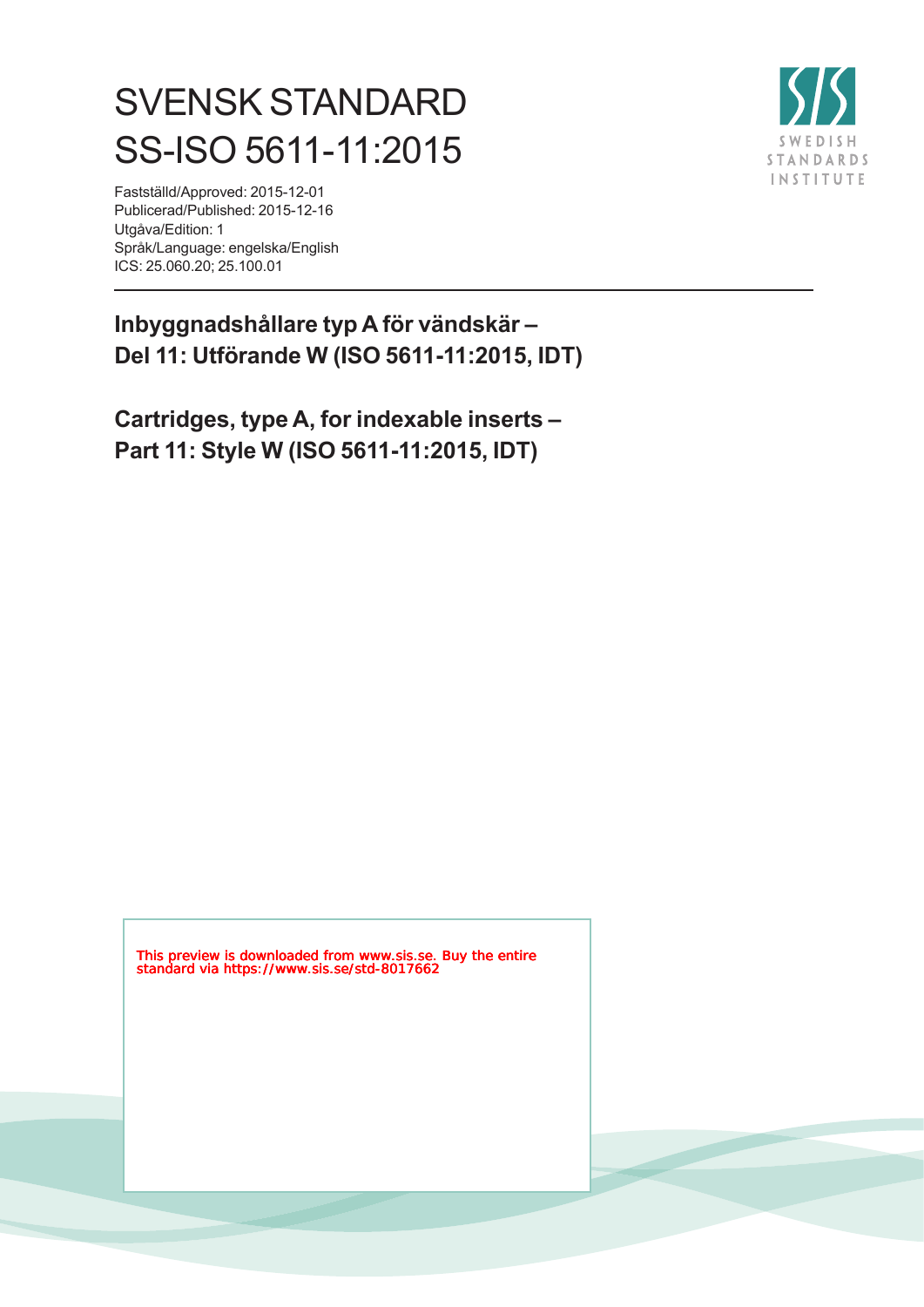# SVENSK STANDARD SS-ISO 5611-11:2015

Fastställd/Approved: 2015-12-01 Publicerad/Published: 2015-12-16 Utgåva/Edition: 1 Språk/Language: engelska/English ICS: 25.060.20; 25.100.01



**Inbyggnadshållare typ A för vändskär – Del 11: Utförande W (ISO 5611-11:2015, IDT)**

**Cartridges, type A, for indexable inserts – Part 11: Style W (ISO 5611-11:2015, IDT)**

This preview is downloaded from www.sis.se. Buy the entire standard via https://www.sis.se/std-8017662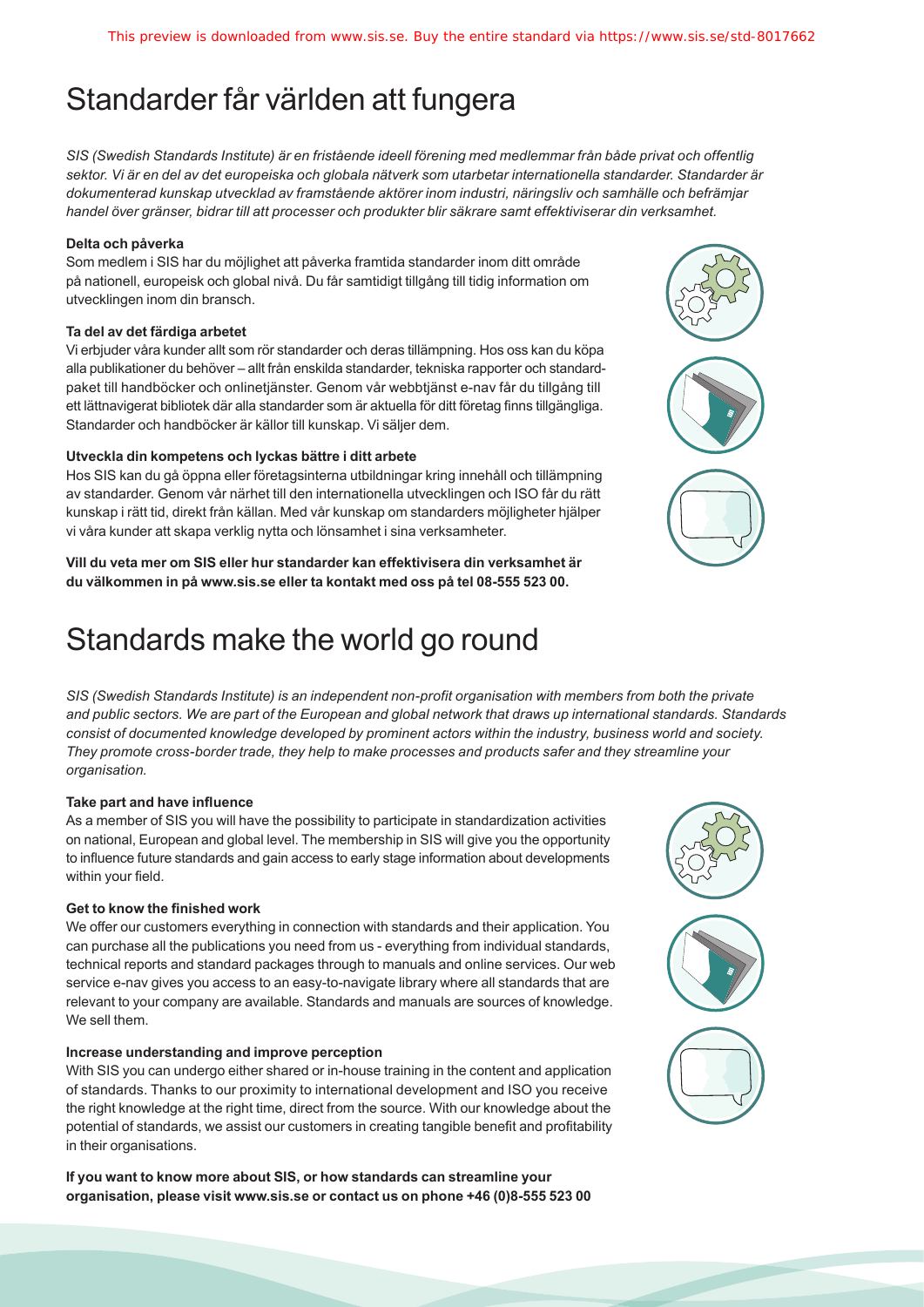## Standarder får världen att fungera

*SIS (Swedish Standards Institute) är en fristående ideell förening med medlemmar från både privat och offentlig sektor. Vi är en del av det europeiska och globala nätverk som utarbetar internationella standarder. Standarder är dokumenterad kunskap utvecklad av framstående aktörer inom industri, näringsliv och samhälle och befrämjar handel över gränser, bidrar till att processer och produkter blir säkrare samt effektiviserar din verksamhet.* 

#### **Delta och påverka**

Som medlem i SIS har du möjlighet att påverka framtida standarder inom ditt område på nationell, europeisk och global nivå. Du får samtidigt tillgång till tidig information om utvecklingen inom din bransch.

#### **Ta del av det färdiga arbetet**

Vi erbjuder våra kunder allt som rör standarder och deras tillämpning. Hos oss kan du köpa alla publikationer du behöver – allt från enskilda standarder, tekniska rapporter och standardpaket till handböcker och onlinetjänster. Genom vår webbtjänst e-nav får du tillgång till ett lättnavigerat bibliotek där alla standarder som är aktuella för ditt företag finns tillgängliga. Standarder och handböcker är källor till kunskap. Vi säljer dem.

#### **Utveckla din kompetens och lyckas bättre i ditt arbete**

Hos SIS kan du gå öppna eller företagsinterna utbildningar kring innehåll och tillämpning av standarder. Genom vår närhet till den internationella utvecklingen och ISO får du rätt kunskap i rätt tid, direkt från källan. Med vår kunskap om standarders möjligheter hjälper vi våra kunder att skapa verklig nytta och lönsamhet i sina verksamheter.

**Vill du veta mer om SIS eller hur standarder kan effektivisera din verksamhet är du välkommen in på www.sis.se eller ta kontakt med oss på tel 08-555 523 00.**

## Standards make the world go round

*SIS (Swedish Standards Institute) is an independent non-profit organisation with members from both the private and public sectors. We are part of the European and global network that draws up international standards. Standards consist of documented knowledge developed by prominent actors within the industry, business world and society. They promote cross-border trade, they help to make processes and products safer and they streamline your organisation.*

#### **Take part and have influence**

As a member of SIS you will have the possibility to participate in standardization activities on national, European and global level. The membership in SIS will give you the opportunity to influence future standards and gain access to early stage information about developments within your field.

#### **Get to know the finished work**

We offer our customers everything in connection with standards and their application. You can purchase all the publications you need from us - everything from individual standards, technical reports and standard packages through to manuals and online services. Our web service e-nav gives you access to an easy-to-navigate library where all standards that are relevant to your company are available. Standards and manuals are sources of knowledge. We sell them.

#### **Increase understanding and improve perception**

With SIS you can undergo either shared or in-house training in the content and application of standards. Thanks to our proximity to international development and ISO you receive the right knowledge at the right time, direct from the source. With our knowledge about the potential of standards, we assist our customers in creating tangible benefit and profitability in their organisations.

**If you want to know more about SIS, or how standards can streamline your organisation, please visit www.sis.se or contact us on phone +46 (0)8-555 523 00**



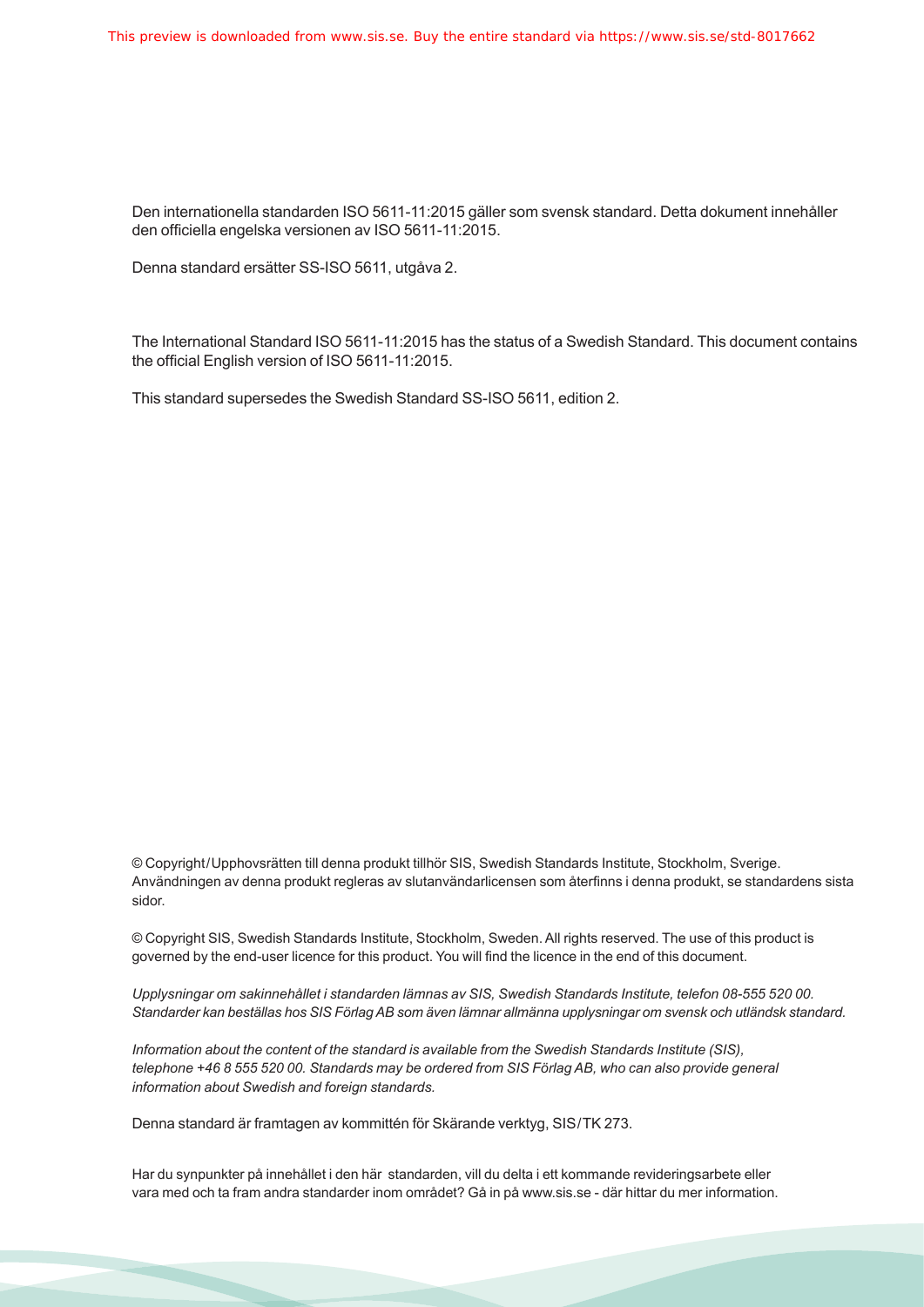Den internationella standarden ISO 5611-11:2015 gäller som svensk standard. Detta dokument innehåller den officiella engelska versionen av ISO 5611-11:2015.

Denna standard ersätter SS-ISO 5611, utgåva 2.

The International Standard ISO 5611-11:2015 has the status of a Swedish Standard. This document contains the official English version of ISO 5611-11:2015.

This standard supersedes the Swedish Standard SS-ISO 5611, edition 2.

© Copyright / Upphovsrätten till denna produkt tillhör SIS, Swedish Standards Institute, Stockholm, Sverige. Användningen av denna produkt regleras av slutanvändarlicensen som återfinns i denna produkt, se standardens sista sidor.

© Copyright SIS, Swedish Standards Institute, Stockholm, Sweden. All rights reserved. The use of this product is governed by the end-user licence for this product. You will find the licence in the end of this document.

*Upplysningar om sakinnehållet i standarden lämnas av SIS, Swedish Standards Institute, telefon 08-555 520 00. Standarder kan beställas hos SIS Förlag AB som även lämnar allmänna upplysningar om svensk och utländsk standard.*

*Information about the content of the standard is available from the Swedish Standards Institute (SIS), telephone +46 8 555 520 00. Standards may be ordered from SIS Förlag AB, who can also provide general information about Swedish and foreign standards.*

Denna standard är framtagen av kommittén för Skärande verktyg, SIS / TK 273.

Har du synpunkter på innehållet i den här standarden, vill du delta i ett kommande revideringsarbete eller vara med och ta fram andra standarder inom området? Gå in på www.sis.se - där hittar du mer information.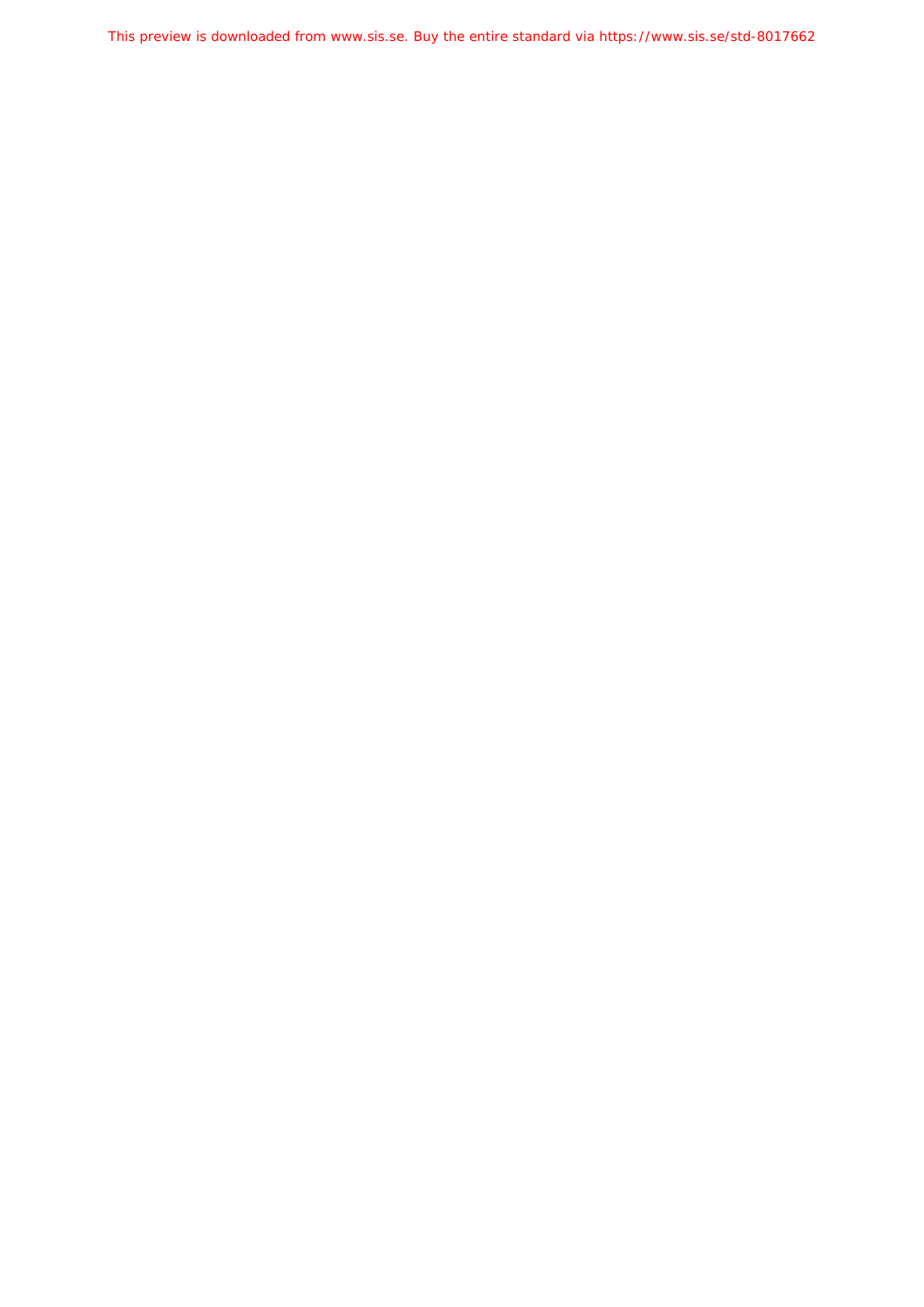This preview is downloaded from www.sis.se. Buy the entire standard via https://www.sis.se/std-8017662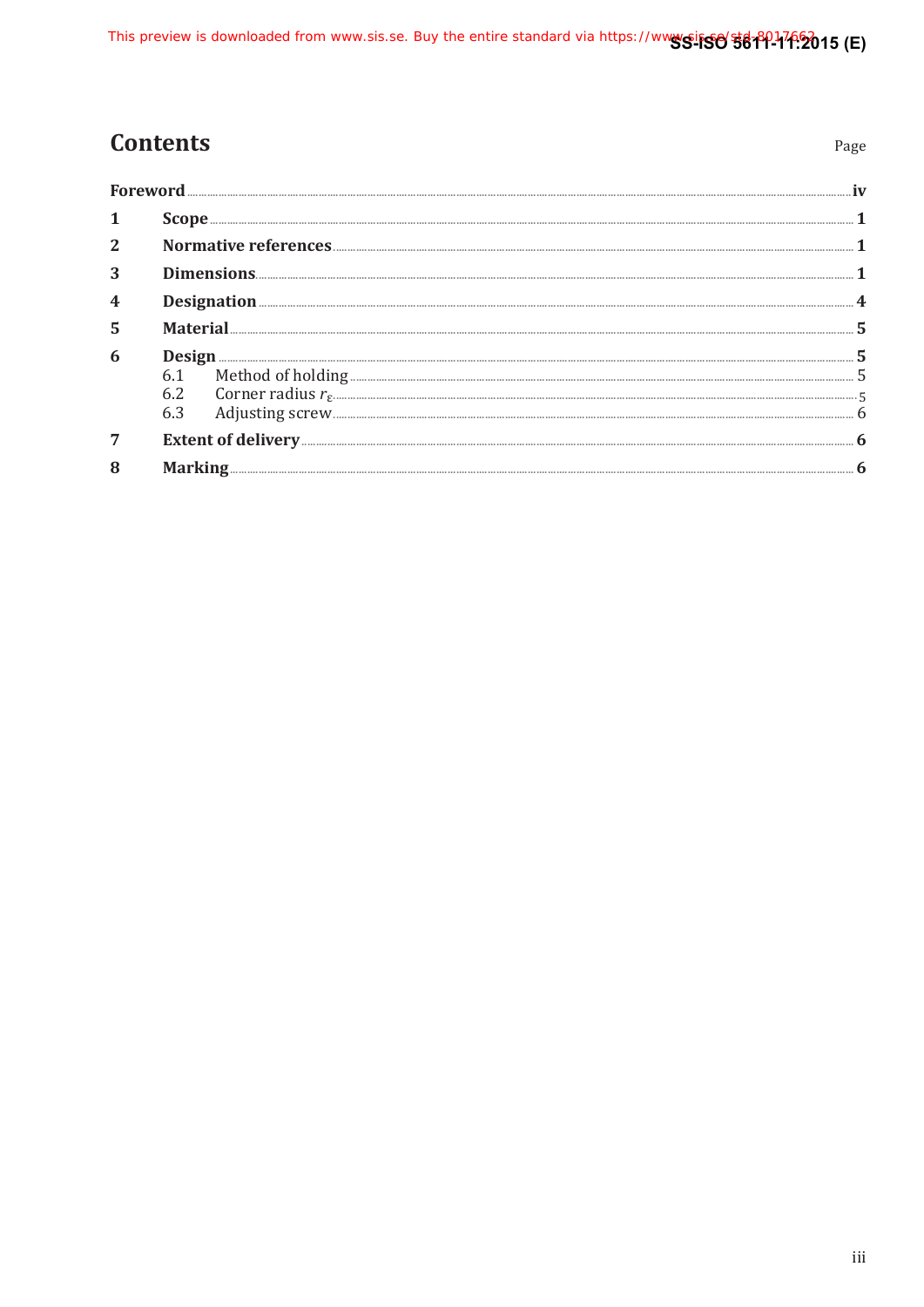## **Contents**

| Foreword       |                                                                      |
|----------------|----------------------------------------------------------------------|
| $\mathbf{1}$   |                                                                      |
| $\overline{2}$ |                                                                      |
| 3              |                                                                      |
| 4              |                                                                      |
| 5              |                                                                      |
| 6              | 6.1 Method of holding $\frac{5}{6.2}$ Corner radius $r_{\epsilon}$ 5 |
| $\overline{7}$ |                                                                      |
| 8              |                                                                      |

Page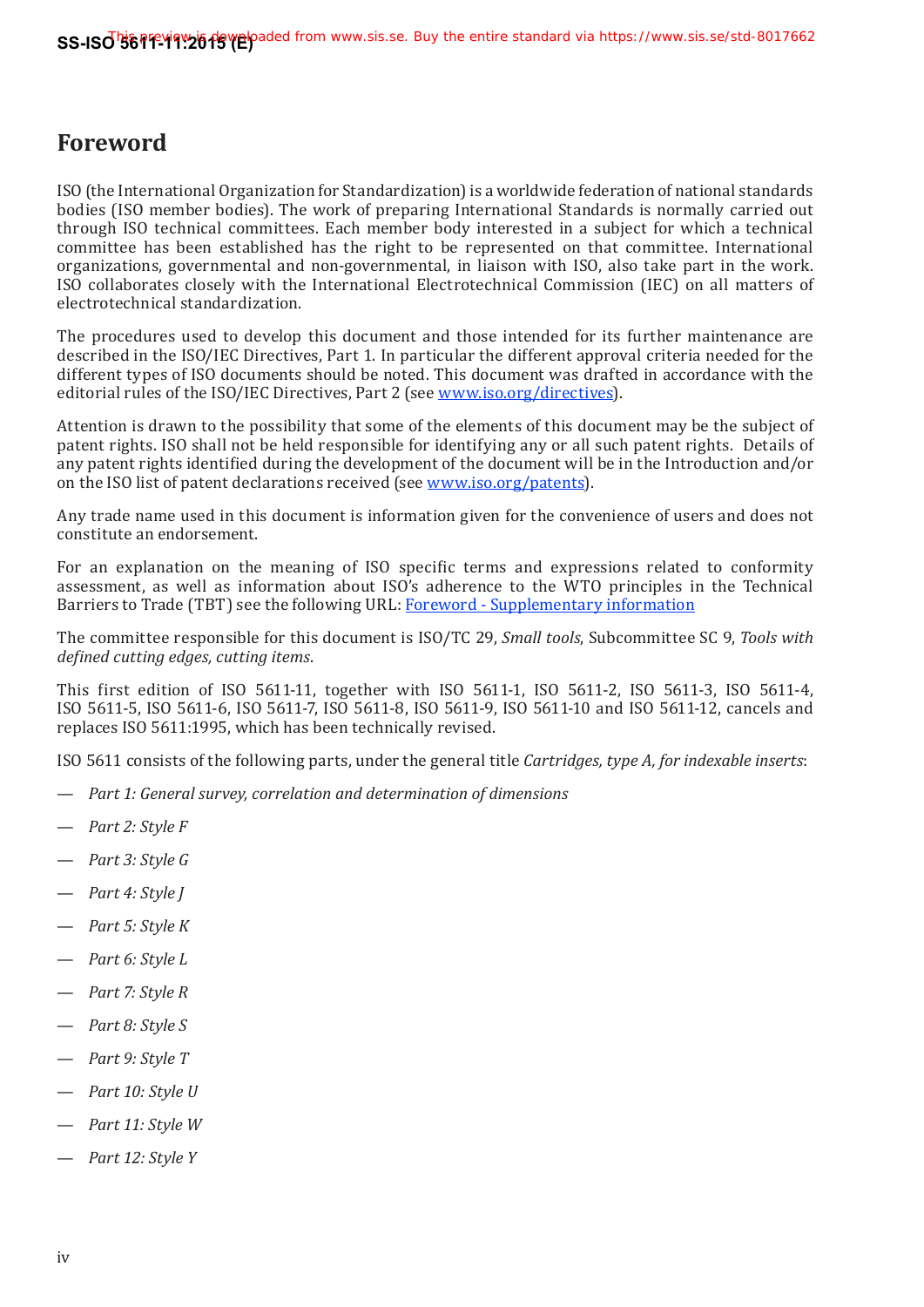### <span id="page-5-0"></span>**Foreword**

ISO (the International Organization for Standardization) is a worldwide federation of national standards bodies (ISO member bodies). The work of preparing International Standards is normally carried out through ISO technical committees. Each member body interested in a subject for which a technical committee has been established has the right to be represented on that committee. International organizations, governmental and non-governmental, in liaison with ISO, also take part in the work. ISO collaborates closely with the International Electrotechnical Commission (IEC) on all matters of electrotechnical standardization.

The procedures used to develop this document and those intended for its further maintenance are described in the ISO/IEC Directives, Part 1. In particular the different approval criteria needed for the different types of ISO documents should be noted. This document was drafted in accordance with the editorial rules of the ISO/IEC Directives, Part 2 (see [www.iso.org/directives\)](http://www.iso.org/directives).

Attention is drawn to the possibility that some of the elements of this document may be the subject of patent rights. ISO shall not be held responsible for identifying any or all such patent rights. Details of any patent rights identified during the development of the document will be in the Introduction and/or on the ISO list of patent declarations received (see [www.iso.org/patents](http://www.iso.org/patents)).

Any trade name used in this document is information given for the convenience of users and does not constitute an endorsement.

For an explanation on the meaning of ISO specific terms and expressions related to conformity assessment, as well as information about ISO's adherence to the WTO principles in the Technical Barriers to Trade (TBT) see the following URL: [Foreword - Supplementary information](http://www.iso.org/iso/home/standards_development/resources-for-technical-work/foreword.htm)

The committee responsible for this document is ISO/TC 29, *Small tools*, Subcommittee SC 9, *Tools with defined cutting edges, cutting items*.

This first edition of ISO 5611-11, together with ISO 5611-1, ISO 5611-2, ISO 5611-3, ISO 5611-4, ISO 5611-5, ISO 5611-6, ISO 5611-7, ISO 5611-8, ISO 5611-9, ISO 5611-10 and ISO 5611-12, cancels and replaces ISO 5611:1995, which has been technically revised.

ISO 5611 consists of the following parts, under the general title *Cartridges, type A, for indexable inserts*:

- *Part 1: General survey, correlation and determination of dimensions*
- *Part 2: Style F*
- *Part 3: Style G*
- *Part 4: Style J*
- *Part 5: Style K*
- *Part 6: Style L*
- *Part 7: Style R*
- *Part 8: Style S*
- *Part 9: Style T*
- *Part 10: Style U*
- *Part 11: Style W*
- *Part 12: Style Y*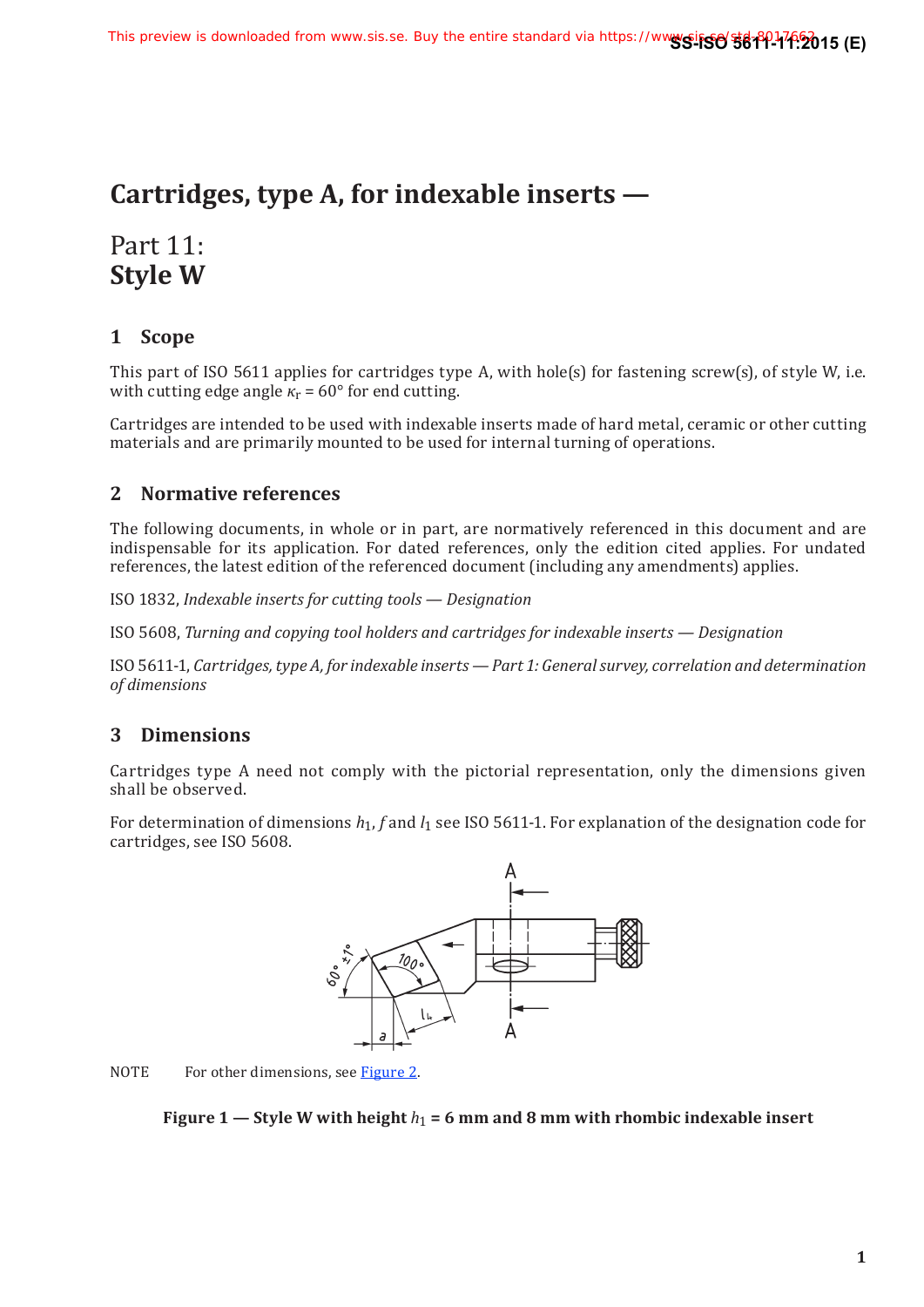## <span id="page-6-0"></span>**Cartridges, type A, for indexable inserts —**

### Part 11: **Style W**

### **1 Scope**

This part of ISO 5611 applies for cartridges type A, with hole(s) for fastening screw(s), of style W, i.e. with cutting edge angle  $\kappa_r$  = 60° for end cutting.

Cartridges are intended to be used with indexable inserts made of hard metal, ceramic or other cutting materials and are primarily mounted to be used for internal turning of operations.

### **2 Normative references**

The following documents, in whole or in part, are normatively referenced in this document and are indispensable for its application. For dated references, only the edition cited applies. For undated references, the latest edition of the referenced document (including any amendments) applies.

ISO 1832, *Indexable inserts for cutting tools — Designation*

ISO 5608, *Turning and copying tool holders and cartridges for indexable inserts — Designation*

ISO 5611-1, *Cartridges, type A, for indexable inserts — Part 1: General survey, correlation and determination of dimensions*

### **3 Dimensions**

Cartridges type A need not comply with the pictorial representation, only the dimensions given shall be observed.

For determination of dimensions *h*1, *f* and *l*1 see ISO 5611-1. For explanation of the designation code for cartridges, see ISO 5608.



NOTE For other dimensions, see [Figure](#page-7-0) 2.